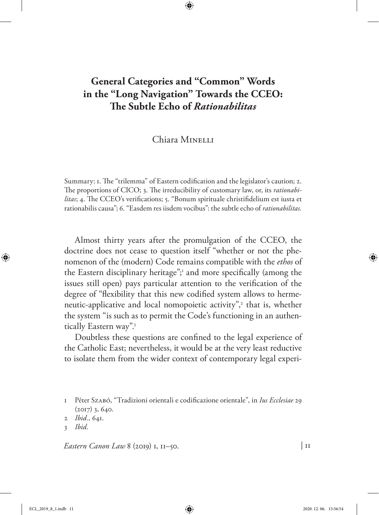# **General Categories and "Common" Words in the "Long Navigation" Towards the CCEO: The Subtle Echo of** *Rationabilitas*

## Chiara Minelli

Summary: 1. The "trilemma" of Eastern codification and the legislator's caution; 2. The proportions of CICO; 3. The irreducibility of customary law, or, its *rationabilitas*; 4. The CCEO's verifications; 5. "Bonum spirituale christifidelium est iusta et rationabilis causa"; 6. "Easdem res iisdem vocibus": the subtle echo of *rationabilitas.*

Almost thirty years after the promulgation of the CCEO, the doctrine does not cease to question itself "whether or not the phenomenon of the (modern) Code remains compatible with the *ethos* of the Eastern disciplinary heritage";<sup>1</sup> and more specifically (among the issues still open) pays particular attention to the verification of the degree of "flexibility that this new codified system allows to hermeneutic-applicative and local nomopoietic activity",<sup>2</sup> that is, whether the system "is such as to permit the Code's functioning in an authentically Eastern way".3

Doubtless these questions are confined to the legal experience of the Catholic East; nevertheless, it would be at the very least reductive to isolate them from the wider context of contemporary legal experi-

*Eastern Canon Law* 8 (2019) 1, 11–50.

<sup>1</sup> Péter Szabó, "Tradizioni orientali e codificazione orientale", in *Ius Ecclesiae* 29 (2017) 3, 640.

<sup>2</sup> *Ibid.*, 641.

<sup>3</sup> *Ibid*.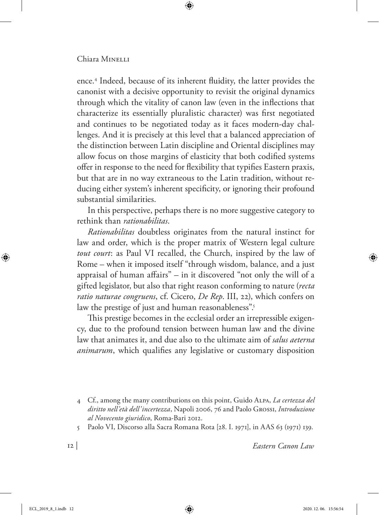ence.4 Indeed, because of its inherent fluidity, the latter provides the canonist with a decisive opportunity to revisit the original dynamics through which the vitality of canon law (even in the inflections that characterize its essentially pluralistic character) was first negotiated and continues to be negotiated today as it faces modern-day challenges. And it is precisely at this level that a balanced appreciation of the distinction between Latin discipline and Oriental disciplines may allow focus on those margins of elasticity that both codified systems offer in response to the need for flexibility that typifies Eastern praxis, but that are in no way extraneous to the Latin tradition, without reducing either system's inherent specificity, or ignoring their profound substantial similarities.

In this perspective, perhaps there is no more suggestive category to rethink than *rationabilitas*.

*Rationabilitas* doubtless originates from the natural instinct for law and order, which is the proper matrix of Western legal culture *tout court*: as Paul VI recalled, the Church, inspired by the law of Rome – when it imposed itself "through wisdom, balance, and a just appraisal of human affairs" – in it discovered "not only the will of a gifted legislator, but also that right reason conforming to nature (*recta ratio naturae congruens*, cf. Cicero, *De Rep*. III, 22), which confers on law the prestige of just and human reasonableness".<sup>5</sup>

This prestige becomes in the ecclesial order an irrepressible exigency, due to the profound tension between human law and the divine law that animates it, and due also to the ultimate aim of *salus aeterna animarum*, which qualifies any legislative or customary disposition

5 Paolo VI, Discorso alla Sacra Romana Rota [28. I. 1971], in AAS 63 (1971) 139.

<sup>4</sup> Cf., among the many contributions on this point, Guido Alpa, *La certezza del diritto nell'età dell'incertezza*, Napoli 2006, 76 and Paolo Grossi, *Introduzione al Novecento giuridico*, Roma-Bari 2012.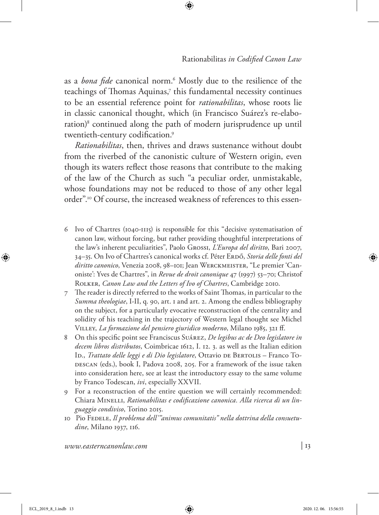as a *bona fide* canonical norm.6 Mostly due to the resilience of the teachings of Thomas Aquinas,<sup>7</sup> this fundamental necessity continues to be an essential reference point for *rationabilitas*, whose roots lie in classic canonical thought, which (in Francisco Suárez's re-elaboration)8 continued along the path of modern jurisprudence up until twentieth-century codification.9

*Rationabilitas*, then, thrives and draws sustenance without doubt from the riverbed of the canonistic culture of Western origin, even though its waters reflect those reasons that contribute to the making of the law of the Church as such "a peculiar order, unmistakable, whose foundations may not be reduced to those of any other legal order".10 Of course, the increased weakness of references to this essen-

- 6 Ivo of Chartres (1040-1115) is responsible for this "decisive systematisation of canon law, without forcing, but rather providing thoughtful interpretations of the law's inherent peculiarities", Paolo Grossi, *L'Europa del diritto*, Bari 2007, 34–35. On Ivo of Chartres's canonical works cf. Péter ERDŐ, *Storia delle fonti del* diritto canonico, Venezia 2008, 98-101; Jean WERCKMEISTER, "Le premier 'Canoniste': Yves de Chartres", in *Revue de droit canonique* 47 (1997) 53–70; Christof Rolker, *Canon Law and the Letters of Ivo of Chartres*, Cambridge 2010.
- 7 The reader is directly referred to the works of Saint Thomas, in particular to the *Summa theologiae*, I-II, q. 90, art. 1 and art. 2. Among the endless bibliography on the subject, for a particularly evocative reconstruction of the centrality and solidity of his teaching in the trajectory of Western legal thought see Michel Villey, *La formazione del pensiero giuridico moderno*, Milano 1985, 321 ff.
- 8 On this specific point see Franciscus Suárez, *De legibus ac de Deo legislatore in decem libros distributos*, Coimbricae 1612, I. 12. 3. as well as the Italian edition ID., *Trattato delle leggi e di Dio legislatore*, Ottavio DE BERTOLIS – Franco To-DESCAN (eds.), book I, Padova 2008, 205. For a framework of the issue taken into consideration here, see at least the introductory essay to the same volume by Franco Todescan, *ivi*, especially XXVII.
- 9 For a reconstruction of the entire question we will certainly recommended: Chiara MINELLI, Rationabilitas e codificazione canonica. Alla ricerca di un lin*guaggio condiviso*, Torino 2015.
- 10 Pio FEDELE, *Il problema dell'"animus comunitatis" nella dottrina della consuetudine*, Milano 1937, 116.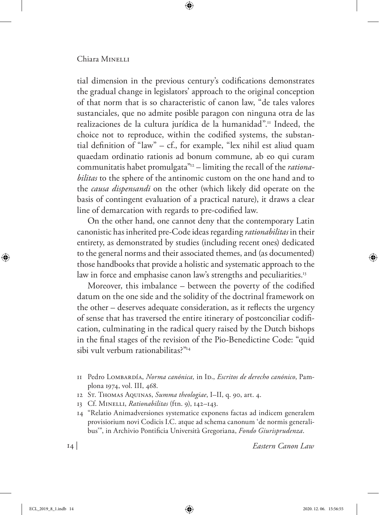tial dimension in the previous century's codifications demonstrates the gradual change in legislators' approach to the original conception of that norm that is so characteristic of canon law, "de tales valores sustanciales, que no admite posible paragon con ninguna otra de las realizaciones de la cultura jurídica de la humanidad".<sup>11</sup> Indeed, the choice not to reproduce, within the codified systems, the substantial definition of "law" – cf., for example, "lex nihil est aliud quam quaedam ordinatio rationis ad bonum commune, ab eo qui curam communitatis habet promulgata"12 – limiting the recall of the *rationabilitas* to the sphere of the antinomic custom on the one hand and to the *causa dispensandi* on the other (which likely did operate on the basis of contingent evaluation of a practical nature), it draws a clear line of demarcation with regards to pre-codified law.

On the other hand, one cannot deny that the contemporary Latin canonistic has inherited pre-Code ideas regarding *rationabilitas* in their entirety, as demonstrated by studies (including recent ones) dedicated to the general norms and their associated themes, and (as documented) those handbooks that provide a holistic and systematic approach to the law in force and emphasise canon law's strengths and peculiarities.<sup>13</sup>

Moreover, this imbalance – between the poverty of the codified datum on the one side and the solidity of the doctrinal framework on the other – deserves adequate consideration, as it reflects the urgency of sense that has traversed the entire itinerary of postconciliar codification, culminating in the radical query raised by the Dutch bishops in the final stages of the revision of the Pio-Benedictine Code: "quid sibi vult verbum rationabilitas?"14

- 11 Pedro Lombardía, *Norma canónica,* in Id., *Escritos de derecho canónico*, Pamplona 1974, vol. III, 468.
- 12 St. Thomas Aquinas, *Summa theologiae*, I–II, q. 90, art. 4.
- 13 Cf. Minelli, *Rationabilitas* (ftn. 9), 142–143.
- 14 "Relatio Animadversiones systematice exponens factas ad indicem generalem provisiorium novi Codicis I.C. atque ad schema canonum 'de normis generalibus'", in Archivio Pontificia Università Gregoriana, *Fondo Giurisprudenza*.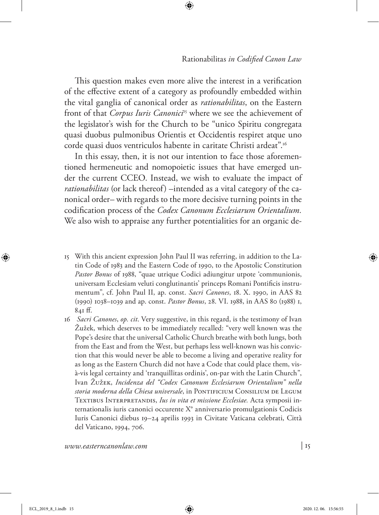This question makes even more alive the interest in a verification of the effective extent of a category as profoundly embedded within the vital ganglia of canonical order as *rationabilitas*, on the Eastern front of that *Corpus Iuris Canonici*<sup>15</sup> where we see the achievement of the legislator's wish for the Church to be "unico Spiritu congregata quasi duobus pulmonibus Orientis et Occidentis respiret atque uno corde quasi duos ventriculos habente in caritate Christi ardeat".<sup>16</sup>

In this essay, then, it is not our intention to face those aforementioned hermeneutic and nomopoietic issues that have emerged under the current CCEO. Instead, we wish to evaluate the impact of *rationabilitas* (or lack thereof) –intended as a vital category of the canonical order– with regards to the more decisive turning points in the codification process of the *Codex Canonum Ecclesiarum Orientalium.* We also wish to appraise any further potentialities for an organic de-

- 15 With this ancient expression John Paul II was referring, in addition to the Latin Code of 1983 and the Eastern Code of 1990, to the Apostolic Constitution *Pastor Bonus* of 1988, "quae utrique Codici adiungitur utpote 'communionis, universam Ecclesiam veluti conglutinantis' princeps Romani Pontificis instrumentum", cf. John Paul II, ap. const. *Sacri Canones*, 18. X. 1990, in AAS 82 (1990) 1038–1039 and ap. const. *Pastor Bonus*, 28. VI. 1988, in AAS 80 (1988) 1, 841 ff.
- 16 *Sacri Canones*, *op. cit*. Very suggestive, in this regard, is the testimony of Ivan Žužek, which deserves to be immediately recalled: "very well known was the Pope's desire that the universal Catholic Church breathe with both lungs, both from the East and from the West, but perhaps less well-known was his conviction that this would never be able to become a living and operative reality for as long as the Eastern Church did not have a Code that could place them, visà-vis legal certainty and 'tranquillitas ordinis', on-par with the Latin Church", Ivan Žužek, *Incidenza del "Codex Canonum Ecclesiarum Orientalium" nella*  storia moderna della Chiesa universale, in PONTIFICIUM CONSILIUM DE LEGUM Textibus Interpretandis, *Ius in vita et missione Ecclesiae.* Acta symposii internationalis iuris canonici occurente X° anniversario promulgationis Codicis Iuris Canonici diebus 19–24 aprilis 1993 in Civitate Vaticana celebrati, Città del Vaticano, 1994, 706.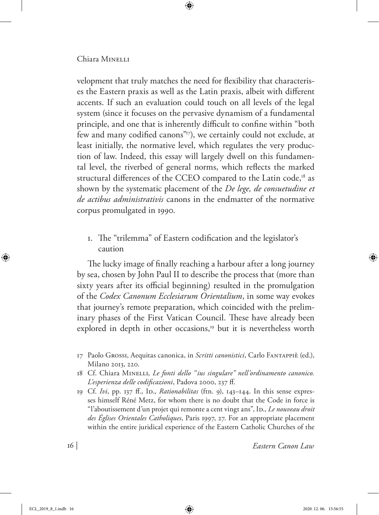velopment that truly matches the need for flexibility that characterises the Eastern praxis as well as the Latin praxis, albeit with different accents. If such an evaluation could touch on all levels of the legal system (since it focuses on the pervasive dynamism of a fundamental principle, and one that is inherently difficult to confine within "both few and many codified canons"17), we certainly could not exclude, at least initially, the normative level, which regulates the very production of law. Indeed, this essay will largely dwell on this fundamental level, the riverbed of general norms, which reflects the marked structural differences of the CCEO compared to the Latin code,<sup>18</sup> as shown by the systematic placement of the *De lege, de consuetudine et de actibus administrativis* canons in the endmatter of the normative corpus promulgated in 1990.

1. The "trilemma" of Eastern codification and the legislator's caution

The lucky image of finally reaching a harbour after a long journey by sea, chosen by John Paul II to describe the process that (more than sixty years after its official beginning) resulted in the promulgation of the *Codex Canonum Ecclesiarum Orientalium*, in some way evokes that journey's remote preparation, which coincided with the preliminary phases of the First Vatican Council. These have already been explored in depth in other occasions,<sup>19</sup> but it is nevertheless worth

<sup>17</sup> Paolo Grossi, Aequitas canonica, in *Scritti canonistici*, Carlo Fantappiè (ed.), Milano 2013, 220.

<sup>18</sup> Cf. Chiara Minelli, *Le fonti dello "ius singulare" nell'ordinamento canonico. L'esperienza delle codificazioni*, Padova 2000, 237 ff.

<sup>19</sup> Cf. *Ivi*, pp. 137 ff., Id., *Rationabilitas* (ftn. 9), 143–144. In this sense expresses himself Réné Metz, for whom there is no doubt that the Code in force is "l'aboutissement d'un projet qui remonte a cent vingt ans", Ip., *Le nouveau droit des Églises Orientales Catholiques*, Paris 1997, 27. For an appropriate placement within the entire juridical experience of the Eastern Catholic Churches of the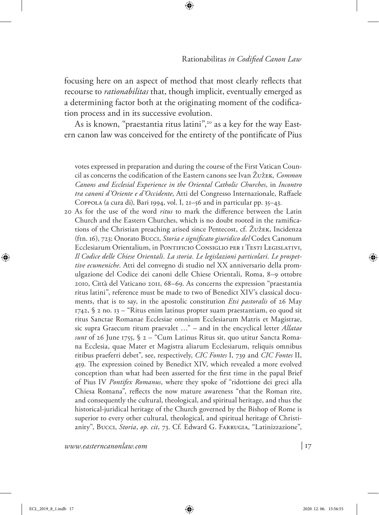focusing here on an aspect of method that most clearly reflects that recourse to *rationabilitas* that, though implicit, eventually emerged as a determining factor both at the originating moment of the codification process and in its successive evolution.

As is known, "praestantia ritus latini",<sup>20</sup> as a key for the way Eastern canon law was conceived for the entirety of the pontificate of Pius

votes expressed in preparation and during the course of the First Vatican Council as concerns the codification of the Eastern canons see Ivan Žužek*, Common Canons and Ecclesial Experience in the Oriental Catholic Churches*, in *Incontro tra canoni d'Oriente e d'Occidente*, Atti del Congresso Internazionale, Raffaele Coppola (a cura di), Bari 1994, vol. I, 21–56 and in particular pp. 35–43.

20 As for the use of the word *ritus* to mark the difference between the Latin Church and the Eastern Churches, which is no doubt rooted in the ramifications of the Christian preaching arised since Pentecost, cf. Žužek, Incidenza (ftn. 16), 723; Onorato Bucci, *Storia e significato giuridico del* Codex Canonum Ecclesiarum Orientalium, in Pontificio Consiglio per i Testi Legislativi, *Il Codice delle Chiese Orientali. La storia. Le legislazioni particolari. Le prospettive ecumeniche*. Atti del convegno di studio nel XX anniversario della promulgazione del Codice dei canoni delle Chiese Orientali, Roma, 8–9 ottobre 2010, Città del Vaticano 2011, 68–69. As concerns the expression "praestantia ritus latini", reference must be made to two of Benedict XIV's classical documents, that is to say, in the apostolic constitution *Etsi pastoralis* of 26 May 1742, § 2 no. 13 – "Ritus enim latinus propter suam praestantiam, eo quod sit ritus Sanctae Romanae Ecclesiae omnium Ecclesiarum Matris et Magistrae, sic supra Graecum ritum praevalet …" – and in the encyclical letter *Allatae sunt* of 26 June 1755, § 2 – "Cum Latinus Ritus sit, quo utitur Sancta Romana Ecclesia, quae Mater et Magistra aliarum Ecclesiarum, reliquis omnibus ritibus praeferri debet", see, respectively, *CIC Fontes* I, 739 and *CIC Fontes* II, 459. The expression coined by Benedict XIV, which revealed a more evolved conception than what had been asserted for the first time in the papal Brief of Pius IV *Pontifex Romanus*, where they spoke of "ridottione dei greci alla Chiesa Romana", reflects the now mature awareness "that the Roman rite, and consequently the cultural, theological, and spiritual heritage, and thus the historical-juridical heritage of the Church governed by the Bishop of Rome is superior to every other cultural, theological, and spiritual heritage of Christianity", Bucci, *Storia*, *op. cit*, 73. Cf. Edward G. Farrugia, "Latinizzazione",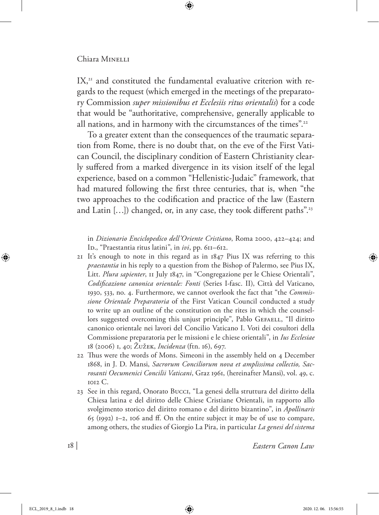IX,<sup>21</sup> and constituted the fundamental evaluative criterion with regards to the request (which emerged in the meetings of the preparatory Commission *super missionibus et Ecclesiis ritus orientalis*) for a code that would be "authoritative, comprehensive, generally applicable to all nations, and in harmony with the circumstances of the times".<sup>22</sup>

To a greater extent than the consequences of the traumatic separation from Rome, there is no doubt that, on the eve of the First Vatican Council, the disciplinary condition of Eastern Christianity clearly suffered from a marked divergence in its vision itself of the legal experience, based on a common "Hellenistic-Judaic" framework, that had matured following the first three centuries, that is, when "the two approaches to the codification and practice of the law (Eastern and Latin [...]) changed, or, in any case, they took different paths".<sup>23</sup>

in *Dizionario Enciclopedico dell'Oriente Cristiano*, Roma 2000, 422–424; and Ib., "Praestantia ritus latini", in *ivi*, pp. 611–612.

- 21 It's enough to note in this regard as in 1847 Pius IX was referring to this *praestantia* in his reply to a question from the Bishop of Palermo, see Pius IX, Litt. *Plura sapienter*, 11 July 1847, in "Congregazione per le Chiese Orientali", *Codificazione canonica orientale: Fonti* (Series I-fasc. II), Città del Vaticano, 1930, 533, no. 4. Furthermore, we cannot overlook the fact that "the *Commissione Orientale Preparatoria* of the First Vatican Council conducted a study to write up an outline of the constitution on the rites in which the counsellors suggested overcoming this unjust principle", Pablo GEFAELL, "Il diritto canonico orientale nei lavori del Concilio Vaticano I. Voti dei cosultori della Commissione preparatoria per le missioni e le chiese orientali", in *Ius Ecclesiae* 18 (2006) 1, 40; Žužek, *Incidenza* (ftn. 16), 697.
- 22 Thus were the words of Mons. Simeoni in the assembly held on 4 December 1868, in J. D. Mansi, *Sacrorum Conciliorum nova et amplissima collectio, Sacrosanti Oecumenici Concilii Vaticani*, Graz 1961, (hereinafter Mansi), vol. 49, c. 1012 C.
- 23 See in this regard, Onorato Bucci, "La genesi della struttura del diritto della Chiesa latina e del diritto delle Chiese Cristiane Orientali, in rapporto allo svolgimento storico del diritto romano e del diritto bizantino", in *Apollinaris* 65 (1992) 1–2, 106 and ff. On the entire subject it may be of use to compare, among others, the studies of Giorgio La Pira, in particular *La genesi del sistema*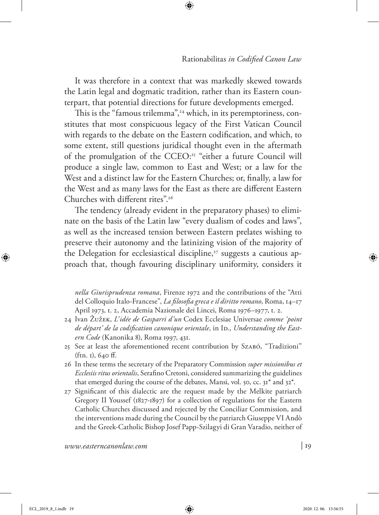It was therefore in a context that was markedly skewed towards the Latin legal and dogmatic tradition, rather than its Eastern counterpart, that potential directions for future developments emerged.

This is the "famous trilemma",<sup>24</sup> which, in its peremptoriness, constitutes that most conspicuous legacy of the First Vatican Council with regards to the debate on the Eastern codification, and which, to some extent, still questions juridical thought even in the aftermath of the promulgation of the CCEO:<sup>25</sup> "either a future Council will produce a single law, common to East and West; or a law for the West and a distinct law for the Eastern Churches; or, finally, a law for the West and as many laws for the East as there are different Eastern Churches with different rites".26

The tendency (already evident in the preparatory phases) to eliminate on the basis of the Latin law "every dualism of codes and laws", as well as the increased tension between Eastern prelates wishing to preserve their autonomy and the latinizing vision of the majority of the Delegation for ecclesiastical discipline,<sup>27</sup> suggests a cautious approach that, though favouring disciplinary uniformity, considers it

*nella Giurisprudenza romana*, Firenze 1972 and the contributions of the "Atti del Colloquio Italo-Francese", *La filosofia greca e il diritto romano*, Roma, 14–17 April 1973, t. 2, Accademia Nazionale dei Lincei, Roma 1976–1977, t. 2.

- 24 Ivan Žužek, *L'idée de Gasparri d'un* Codex Ecclesiae Universae *comme 'point*  de départ' de la codification canonique orientale, in Ip., *Understanding the Eastern Code* (Kanonika 8), Roma 1997, 431.
- 25 See at least the aforementioned recent contribution by Szabó, "Tradizioni" (ftn. 1), 640 ff.
- 26 In these terms the secretary of the Preparatory Commission *super missionibus et Ecclesiis ritus orientalis*, Serafino Cretoni, considered summarizing the guidelines that emerged during the course of the debates, Mansi, vol. 50, cc.  $31^*$  and  $32^*$ .
- 27 Significant of this dialectic are the request made by the Melkite patriarch Gregory II Youssef (1827-1897) for a collection of regulations for the Eastern Catholic Churches discussed and rejected by the Conciliar Commission, and the interventions made during the Council by the patriarch Giuseppe VI Andò and the Greek-Catholic Bishop Josef Papp-Szilagyi di Gran Varadio, neither of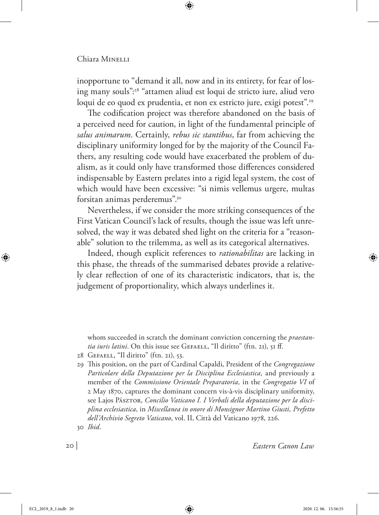inopportune to "demand it all, now and in its entirety, for fear of losing many souls":28 "attamen aliud est loqui de stricto iure, aliud vero loqui de eo quod ex prudentia, et non ex estricto jure, exigi potest".<sup>29</sup>

The codification project was therefore abandoned on the basis of a perceived need for caution, in light of the fundamental principle of *salus animarum*. Certainly, *rebus sic stantibus*, far from achieving the disciplinary uniformity longed for by the majority of the Council Fathers, any resulting code would have exacerbated the problem of dualism, as it could only have transformed those differences considered indispensable by Eastern prelates into a rigid legal system, the cost of which would have been excessive: "si nimis vellemus urgere, multas forsitan animas perderemus".30

Nevertheless, if we consider the more striking consequences of the First Vatican Council's lack of results, though the issue was left unresolved, the way it was debated shed light on the criteria for a "reasonable" solution to the trilemma, as well as its categorical alternatives.

Indeed, though explicit references to *rationabilitas* are lacking in this phase, the threads of the summarised debates provide a relatively clear reflection of one of its characteristic indicators, that is, the judgement of proportionality, which always underlines it.

whom succeeded in scratch the dominant conviction concerning the *praestantia iuris latini*. On this issue see GEFAELL, "Il diritto" (ftn. 21), 51 ff.

- 28 Gefaell, "Il diritto" (ftn. 21), 53.
- 29 This position, on the part of Cardinal Capaldi, President of the *Congregazione Particolare della Deputazione per la Disciplina Ecclesiastica,* and previously a member of the *Commissione Orientale Preparatoria,* in the *Congregatio VI* of 2 May 1870, captures the dominant concern vis-à-vis disciplinary uniformity, see Lajos Pász*ron, Concilio Vaticano I. I Verbali della deputazione per la disciplina ecclesiastica,* in *Miscellanea in onore di Monsignor Martino Giusti, Prefetto dell'Archivio Segreto Vaticano*, vol. II, Città del Vaticano 1978, 226. 30 *Ibid*.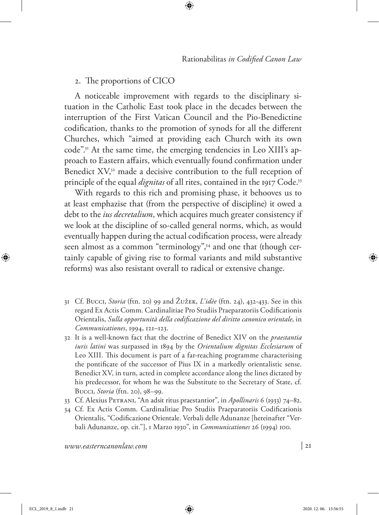## 2. The proportions of CICO

A noticeable improvement with regards to the disciplinary situation in the Catholic East took place in the decades between the interruption of the First Vatican Council and the Pio-Benedictine codification, thanks to the promotion of synods for all the different Churches, which "aimed at providing each Church with its own code".31 At the same time, the emerging tendencies in Leo XIII's approach to Eastern affairs, which eventually found confirmation under Benedict  $XY<sub>1</sub><sup>32</sup>$  made a decisive contribution to the full reception of principle of the equal *dignitas* of all rites, contained in the 1917 Code.<sup>33</sup>

With regards to this rich and promising phase, it behooves us to at least emphazise that (from the perspective of discipline) it owed a debt to the *ius decretalium*, which acquires much greater consistency if we look at the discipline of so-called general norms, which, as would eventually happen during the actual codification process, were already seen almost as a common "terminology",<sup>34</sup> and one that (though certainly capable of giving rise to formal variants and mild substantive reforms) was also resistant overall to radical or extensive change.

- 31 Cf. Bucci, *Storia* (ftn. 20) 99 and Žužek, *L'idèe* (ftn. 24), 432-433. See in this regard Ex Actis Comm. Cardinalitiae Pro Studiis Praeparatoriis Codificationis Orientalis, *Sulla opportunità della codificazione del diritto canonico orientale*, in *Communicationes*, 1994, 121–123.
- 32 It is a well-known fact that the doctrine of Benedict XIV on the *praestantia iuris latini* was surpassed in 1894 by the *Orientalium dignitas Ecclesiarum* of Leo XIII. This document is part of a far-reaching programme characterising the pontificate of the successor of Pius IX in a markedly orientalistic sense. Benedict XV, in turn, acted in complete accordance along the lines dictated by his predecessor, for whom he was the Substitute to the Secretary of State, cf. Bucci, *Storia* (ftn. 20), 98–99.
- 33 Cf. Alexius Petrani, "An adsit ritus praestantior", in *Apollinaris* 6 (1933) 74–82.
- 34 Cf. Ex Actis Comm. Cardinalitiae Pro Studiis Praeparatoriis Codificationis Orientalis, "Codificazione Orientale. Verbali delle Adunanze [hereinafter "Verbali Adunanze, op. cit."], 1 Marzo 1930", in *Communicationes* 26 (1994) 100.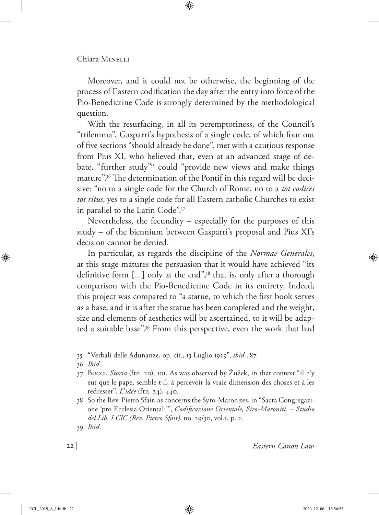Moreover, and it could not be otherwise, the beginning of the process of Eastern codification the day after the entry into force of the Pio-Benedictine Code is strongly determined by the methodological question.

With the resurfacing, in all its peremptoriness, of the Council's "trilemma", Gasparri's hypothesis of a single code, of which four out of five sections "should already be done", met with a cautious response from Pius XI, who believed that, even at an advanced stage of debate, "further study"<sup>35</sup> could "provide new views and make things mature".36 The determination of the Pontif in this regard will be decisive: "no to a single code for the Church of Rome, no to a *tot codices tot ritus*, yes to a single code for all Eastern catholic Churches to exist in parallel to the Latin Code".37

Nevertheless, the fecundity – especially for the purposes of this study – of the biennium between Gasparri's proposal and Pius XI's decision cannot be denied.

In particular, as regards the discipline of the *Normae Generales*, at this stage matures the persuasion that it would have achieved "its definitive form [...] only at the end",<sup>38</sup> that is, only after a thorough comparison with the Pio-Benedictine Code in its entirety. Indeed, this project was compared to "a statue, to which the first book serves as a base, and it is after the statue has been completed and the weight, size and elements of aesthetics will be ascertained, to it will be adapted a suitable base".39 From this perspective, even the work that had

- 36 *Ibid*.
- 37 Bucci, *Storia* (ftn. 20), 101. As was observed by Žužek, in that context "il n'y eut que le pape, semble-t-il, à percevoir la vraie dimension des choses et à les redresser", *L'idée* (ftn. 24), 440.
- 38 So the Rev. Pietro Sfair, as concerns the Syro-Maronites, in "Sacra Congregazione 'pro Ecclesia Orientali'", *Codificazione Orientale, Siro-Maroniti. – Studio del Lib. I CIC (Rev. Pietro Sfair)*, no. 29/30, vol.1, p. 2.

<sup>35</sup> "Verbali delle Adunanze, op. cit., 13 Luglio 1929", *ibid.*, 87.

<sup>39</sup> *Ibid*.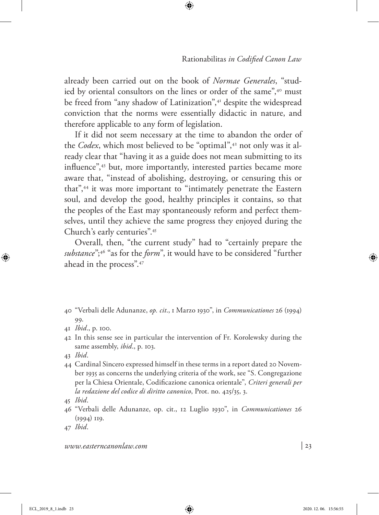already been carried out on the book of *Normae Generales*, "studied by oriental consultors on the lines or order of the same",<sup>40</sup> must be freed from "any shadow of Latinization",<sup>41</sup> despite the widespread conviction that the norms were essentially didactic in nature, and therefore applicable to any form of legislation.

If it did not seem necessary at the time to abandon the order of the *Codex*, which most believed to be "optimal",<sup>42</sup> not only was it already clear that "having it as a guide does not mean submitting to its influence",<sup>43</sup> but, more importantly, interested parties became more aware that, "instead of abolishing, destroying, or censuring this or that",44 it was more important to "intimately penetrate the Eastern soul, and develop the good, healthy principles it contains, so that the peoples of the East may spontaneously reform and perfect themselves, until they achieve the same progress they enjoyed during the Church's early centuries".45

Overall, then, "the current study" had to "certainly prepare the *substance*";46 "as for the *form*", it would have to be considered "further ahead in the process".47

- 40 "Verbali delle Adunanze, *op. cit*., 1 Marzo 1930", in *Communicationes* 26 (1994) 99.
- 41 *Ibid*., p. 100.
- 42 In this sense see in particular the intervention of Fr. Korolewsky during the same assembly, *ibid*., p. 103.
- 43 *Ibid*.
- 44 Cardinal Sincero expressed himself in these terms in a report dated 20 November 1935 as concerns the underlying criteria of the work, see "S. Congregazione per la Chiesa Orientale, Codificazione canonica orientale", *Criteri generali per la redazione del codice di diritto canonico*, Prot. no. 425/35, 3.

47 *Ibid*.

<sup>45</sup> *Ibid*.

<sup>46</sup> "Verbali delle Adunanze, op. cit., 12 Luglio 1930", in *Communicationes* 26 (1994) 119.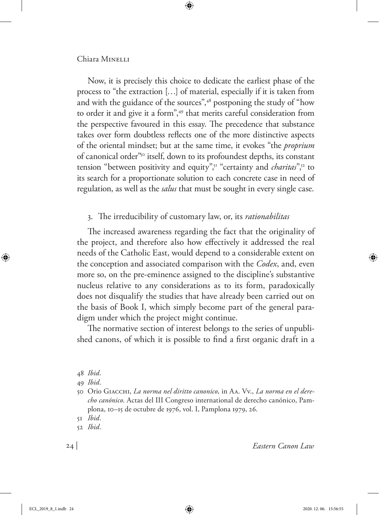Now, it is precisely this choice to dedicate the earliest phase of the process to "the extraction […] of material, especially if it is taken from and with the guidance of the sources",48 postponing the study of "how to order it and give it a form",<sup>49</sup> that merits careful consideration from the perspective favoured in this essay. The precedence that substance takes over form doubtless reflects one of the more distinctive aspects of the oriental mindset; but at the same time, it evokes "the *proprium* of canonical order"50 itself, down to its profoundest depths, its constant tension "between positivity and equity",<sup>51</sup> "certainty and *charitas*",<sup>52</sup> to its search for a proportionate solution to each concrete case in need of regulation, as well as the *salus* that must be sought in every single case.

## 3. The irreducibility of customary law, or, its *rationabilitas*

The increased awareness regarding the fact that the originality of the project, and therefore also how effectively it addressed the real needs of the Catholic East, would depend to a considerable extent on the conception and associated comparison with the *Codex*, and, even more so, on the pre-eminence assigned to the discipline's substantive nucleus relative to any considerations as to its form, paradoxically does not disqualify the studies that have already been carried out on the basis of Book I, which simply become part of the general paradigm under which the project might continue.

The normative section of interest belongs to the series of unpublished canons, of which it is possible to find a first organic draft in a

<sup>48</sup> *Ibid*.

<sup>49</sup> *Ibid*.

<sup>50</sup> Orio Giacchi, *La norma nel diritto canonico*, in Aa. Vv., *La norma en el derecho canónico*. Actas del III Congreso international de derecho canónico, Pamplona, 10–15 de octubre de 1976, vol. I, Pamplona 1979, 26.

<sup>51</sup> *Ibid*.

<sup>52</sup> *Ibid*.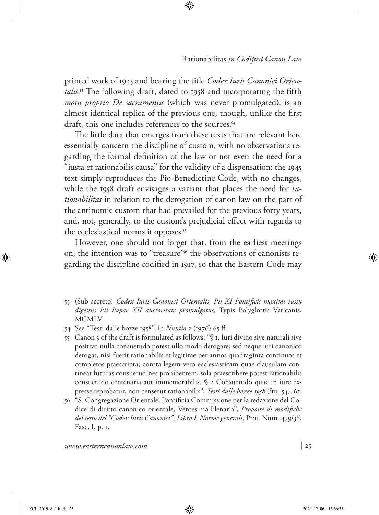printed work of 1945 and bearing the title *Codex Iuris Canonici Orientalis*. 53 The following draft, dated to 1958 and incorporating the fifth *motu proprio De sacramentis* (which was never promulgated), is an almost identical replica of the previous one, though, unlike the first draft, this one includes references to the sources.<sup>54</sup>

The little data that emerges from these texts that are relevant here essentially concern the discipline of custom, with no observations regarding the formal definition of the law or not even the need for a "iusta et rationabilis causa" for the validity of a dispensation: the 1945 text simply reproduces the Pio-Benedictine Code, with no changes, while the 1958 draft envisages a variant that places the need for *rationabilitas* in relation to the derogation of canon law on the part of the antinomic custom that had prevailed for the previous forty years, and, not, generally, to the custom's prejudicial effect with regards to the ecclesiastical norms it opposes.<sup>55</sup>

However, one should not forget that, from the earliest meetings on, the intention was to "treasure"56 the observations of canonists regarding the discipline codified in 1917, so that the Eastern Code may

- 53 (Sub secreto) *Codex Iuris Canonici Orientalis, Pii XI Pontificis maximi iussu digestus Pii Papae XII auctoritate promulgatus*, Typis Polyglottis Vaticanis, MCMLV.
- 54 See "Testi dalle bozze 1958", in *Nuntia* 2 (1976) 65 ff.
- 55 Canon 3 of the draft is formulated as follows: "§ 1. Iuri divino sive naturali sive positivo nulla consuetudo potest ullo modo derogare; sed neque iuri canonico derogat, nisi fuerit rationabilis et legitime per annos quadraginta continuos et completos praescripta; contra legem vero ecclesiasticam quae clausulam contineat futuras consuetudines prohibentem, sola praescribere potest rationabilis consuetudo centenaria aut immemorabilis. § 2 Consuetudo quae in iure expresse reprobatur, non censetur rationabilis", *Testi dalle bozze 1958* (ftn. 54), 65.
- 56 "S. Congregazione Orientale, Pontificia Commissione per la redazione del Codice di diritto canonico orientale, Ventesima Plenaria", *Proposte di modifiche del testo del "Codex Iuris Canonici", Libro I, Norme generali*, Prot. Num. 479/36, Fasc. I, p. 1.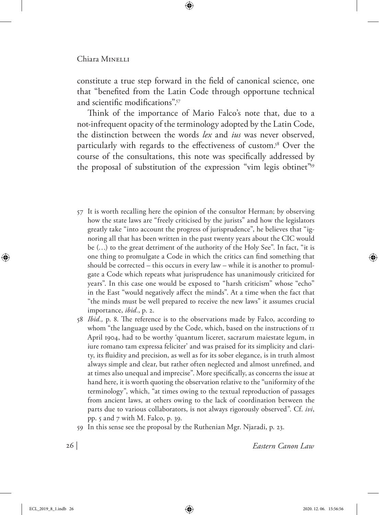constitute a true step forward in the field of canonical science, one that "benefited from the Latin Code through opportune technical and scientific modifications".57

Think of the importance of Mario Falco's note that, due to a not-infrequent opacity of the terminology adopted by the Latin Code, the distinction between the words *lex* and *ius* was never observed, particularly with regards to the effectiveness of custom.<sup>58</sup> Over the course of the consultations, this note was specifically addressed by the proposal of substitution of the expression "vim legis obtinet"59

- 57 It is worth recalling here the opinion of the consultor Herman; by observing how the state laws are "freely criticised by the jurists" and how the legislators greatly take "into account the progress of jurisprudence", he believes that "ignoring all that has been written in the past twenty years about the CIC would be (…) to the great detriment of the authority of the Holy See". In fact, "it is one thing to promulgate a Code in which the critics can find something that should be corrected – this occurs in every law – while it is another to promulgate a Code which repeats what jurisprudence has unanimously criticized for years". In this case one would be exposed to "harsh criticism" whose "echo" in the East "would negatively affect the minds". At a time when the fact that "the minds must be well prepared to receive the new laws" it assumes crucial importance, *ibid.*, p. 2.
- 58 *Ibid.,* p. 8. The reference is to the observations made by Falco, according to whom "the language used by the Code, which, based on the instructions of 11 April 1904, had to be worthy 'quantum liceret, sacrarum maiestate legum, in iure romano tam expressa feliciter' and was praised for its simplicity and clarity, its fluidity and precision, as well as for its sober elegance, is in truth almost always simple and clear, but rather often neglected and almost unrefined, and at times also unequal and imprecise". More specifically, as concerns the issue at hand here, it is worth quoting the observation relative to the "uniformity of the terminology", which, "at times owing to the textual reproduction of passages from ancient laws, at others owing to the lack of coordination between the parts due to various collaborators, is not always rigorously observed". Cf. *ivi*, pp. 5 and 7 with M. Falco, p. 39.
- 59 In this sense see the proposal by the Ruthenian Mgr. Njaradi, p. 23.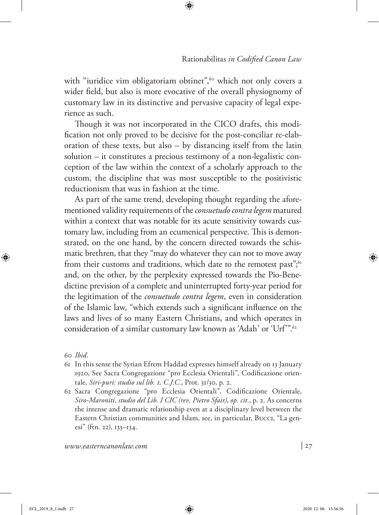with "iuridice vim obligatoriam obtinet",<sup>60</sup> which not only covers a wider field, but also is more evocative of the overall physiognomy of customary law in its distinctive and pervasive capacity of legal experience as such.

Though it was not incorporated in the CICO drafts, this modification not only proved to be decisive for the post-conciliar re-elaboration of these texts, but also – by distancing itself from the latin solution – it constitutes a precious testimony of a non-legalistic conception of the law within the context of a scholarly approach to the custom, the discipline that was most susceptible to the positivistic reductionism that was in fashion at the time.

As part of the same trend, developing thought regarding the aforementioned validity requirements of the *consuetudo contra legem* matured within a context that was notable for its acute sensitivity towards customary law, including from an ecumenical perspective. This is demonstrated, on the one hand, by the concern directed towards the schismatic brethren, that they "may do whatever they can not to move away from their customs and traditions, which date to the remotest past",<sup>61</sup> and, on the other, by the perplexity expressed towards the Pio-Benedictine prevision of a complete and uninterrupted forty-year period for the legitimation of the *consuetudo contra legem*, even in consideration of the Islamic law, "which extends such a significant influence on the laws and lives of so many Eastern Christians, and which operates in consideration of a similar customary law known as 'Adah' or 'Urf".<sup>62</sup>

60 *Ibid*.

- 61 In this sense the Syrian Efrem Haddad expresses himself already on 13 January 1920, See Sacra Congregazione "pro Ecclesia Orientali", Codificazione orientale, *Siri-puri: studio sul lib. 1, C.J.C.*, Prot. 31/30, p. 2.
- 62 Sacra Congregazione "pro Ecclesia Orientali", Codificazione Orientale, *Siro-Maroniti, studio del Lib. I CIC (rev. Pietro Sfair)*, *op. cit*., p. 2. As concerns the intense and dramatic relationship even at a disciplinary level between the Eastern Christian communities and Islam, see, in particular, Bucci, "La genesi" (ftn. 22), 133–134.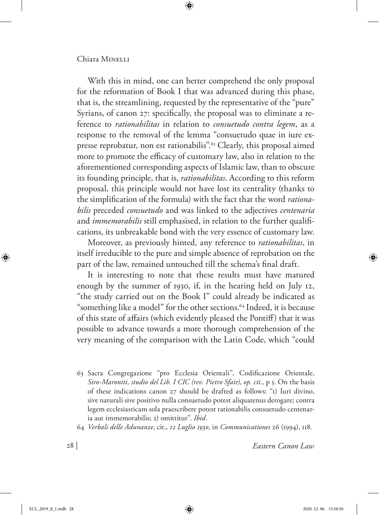With this in mind, one can better comprehend the only proposal for the reformation of Book I that was advanced during this phase, that is, the streamlining, requested by the representative of the "pure" Syrians, of canon 27: specifically, the proposal was to eliminate a reference to *rationabilitas* in relation to *consuetudo contra legem*, as a response to the removal of the lemma "consuetudo quae in iure expresse reprobatur, non est rationabilis".63 Clearly, this proposal aimed more to promote the efficacy of customary law, also in relation to the aforementioned corresponding aspects of Islamic law, than to obscure its founding principle, that is, *rationabilitas*. According to this reform proposal, this principle would not have lost its centrality (thanks to the simplification of the formula) with the fact that the word *rationabilis* preceded *consuetudo* and was linked to the adjectives *centenaria* and *immemorabilis* still emphasised, in relation to the further qualifications, its unbreakable bond with the very essence of customary law.

Moreover, as previously hinted, any reference to *rationabilitas*, in itself irreducible to the pure and simple absence of reprobation on the part of the law, remained untouched till the schema's final draft.

It is interesting to note that these results must have matured enough by the summer of 1930, if, in the hearing held on July 12, "the study carried out on the Book I" could already be indicated as "something like a model" for the other sections.<sup>64</sup> Indeed, it is because of this state of affairs (which evidently pleased the Pontiff) that it was possible to advance towards a more thorough comprehension of the very meaning of the comparison with the Latin Code, which "could

- 63 Sacra Congregazione "pro Ecclesia Orientali", Codificazione Orientale, *Siro-Maroniti, studio del Lib. I CIC (rev. Pietro Sfair)*, *op. cit*., p 5. On the basis of these indications canon 27 should be drafted as follows: "1) Iuri divino, sive naturali sive positivo nulla consuetudo potest aliquatenus derogare; contra legem ecclesiasticam sola praescribere potest rationabilis consuetudo centenaria aut immemorabilis; 2) omittitur". *Ibid*.
- 64 *Verbali delle Adunanze*, cit., *12 Luglio 1930*, in *Communicationes* 26 (1994), 118.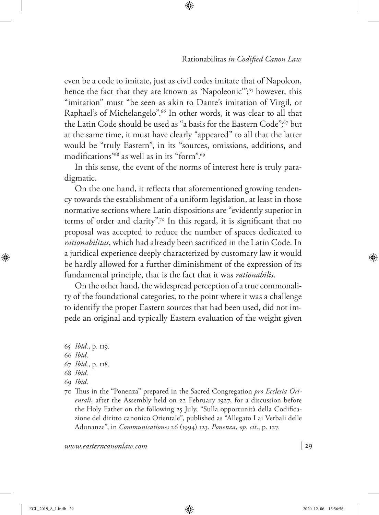even be a code to imitate, just as civil codes imitate that of Napoleon, hence the fact that they are known as 'Napoleonic'";<sup>65</sup> however, this "imitation" must "be seen as akin to Dante's imitation of Virgil, or Raphael's of Michelangelo".<sup>66</sup> In other words, it was clear to all that the Latin Code should be used as "a basis for the Eastern Code";67 but at the same time, it must have clearly "appeared" to all that the latter would be "truly Eastern", in its "sources, omissions, additions, and modifications"68 as well as in its "form".69

In this sense, the event of the norms of interest here is truly paradigmatic.

On the one hand, it reflects that aforementioned growing tendency towards the establishment of a uniform legislation, at least in those normative sections where Latin dispositions are "evidently superior in terms of order and clarity".<sup>70</sup> In this regard, it is significant that no proposal was accepted to reduce the number of spaces dedicated to *rationabilitas*, which had already been sacrificed in the Latin Code. In a juridical experience deeply characterized by customary law it would be hardly allowed for a further diminishment of the expression of its fundamental principle, that is the fact that it was *rationabilis*.

On the other hand, the widespread perception of a true commonality of the foundational categories, to the point where it was a challenge to identify the proper Eastern sources that had been used, did not impede an original and typically Eastern evaluation of the weight given

65 *Ibid.*, p. 119.

- 66 *Ibid*.
- 67 *Ibid.*, p. 118.
- 68 *Ibid*.
- 69 *Ibid*.
- 70 Thus in the "Ponenza" prepared in the Sacred Congregation *pro Ecclesia Orientali*, after the Assembly held on 22 February 1927, for a discussion before the Holy Father on the following 25 July, "Sulla opportunità della Codificazione del diritto canonico Orientale", published as "Allegato I ai Verbali delle Adunanze", in *Communicationes* 26 (1994) 123. *Ponenza*, *op. cit*., p. 127.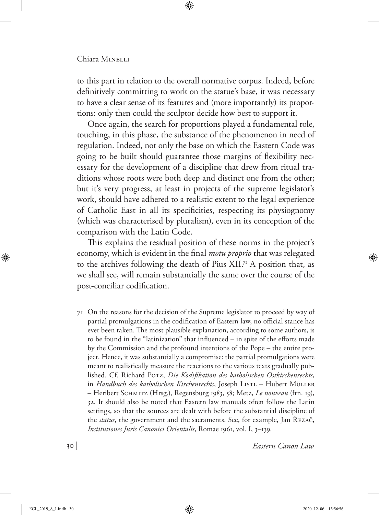to this part in relation to the overall normative corpus. Indeed, before definitively committing to work on the statue's base, it was necessary to have a clear sense of its features and (more importantly) its proportions: only then could the sculptor decide how best to support it.

Once again, the search for proportions played a fundamental role, touching, in this phase, the substance of the phenomenon in need of regulation. Indeed, not only the base on which the Eastern Code was going to be built should guarantee those margins of flexibility necessary for the development of a discipline that drew from ritual traditions whose roots were both deep and distinct one from the other; but it's very progress, at least in projects of the supreme legislator's work, should have adhered to a realistic extent to the legal experience of Catholic East in all its specificities, respecting its physiognomy (which was characterised by pluralism), even in its conception of the comparison with the Latin Code.

This explains the residual position of these norms in the project's economy, which is evident in the final *motu proprio* that was relegated to the archives following the death of Pius  $XII^{7}$  A position that, as we shall see, will remain substantially the same over the course of the post-conciliar codification.

71 On the reasons for the decision of the Supreme legislator to proceed by way of partial promulgations in the codification of Eastern law, no official stance has ever been taken. The most plausible explanation, according to some authors, is to be found in the "latinization" that influenced – in spite of the efforts made by the Commission and the profound intentions of the Pope – the entire project. Hence, it was substantially a compromise: the partial promulgations were meant to realistically measure the reactions to the various texts gradually published. Cf. Richard Porz, *Die Kodifikation des katholischen Ostkirchenrechts*, in *Handbuch des katholischen Kirchenrechts*, Joseph LISTL – Hubert MÜLLER – Heribert Schmitz (Hrsg.), Regensburg 1983, 58; Metz, *Le nouveau* (ftn. 19), 32. It should also be noted that Eastern law manuals often follow the Latin settings, so that the sources are dealt with before the substantial discipline of the *status*, the government and the sacraments. See, for example, Jan Řezač, *Institutiones Juris Canonici Orientalis*, Romae 1961, vol. I, 3–139.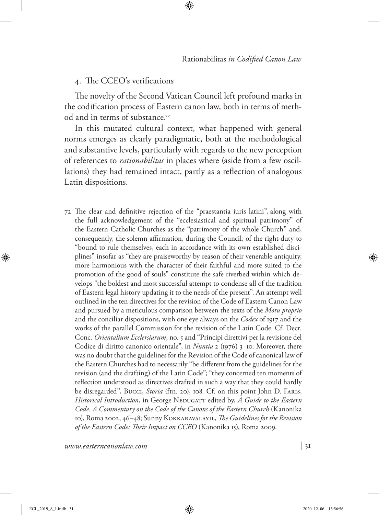## 4. The CCEO's verifications

The novelty of the Second Vatican Council left profound marks in the codification process of Eastern canon law, both in terms of method and in terms of substance.72

In this mutated cultural context, what happened with general norms emerges as clearly paradigmatic, both at the methodological and substantive levels, particularly with regards to the new perception of references to *rationabilitas* in places where (aside from a few oscillations) they had remained intact, partly as a reflection of analogous Latin dispositions.

72 The clear and definitive rejection of the "praestantia iuris latini", along with the full acknowledgement of the "ecclesiastical and spiritual patrimony" of the Eastern Catholic Churches as the "patrimony of the whole Church" and, consequently, the solemn affirmation, during the Council, of the right-duty to "bound to rule themselves, each in accordance with its own established disciplines" insofar as "they are praiseworthy by reason of their venerable antiquity, more harmonious with the character of their faithful and more suited to the promotion of the good of souls" constitute the safe riverbed within which develops "the boldest and most successful attempt to condense all of the tradition of Eastern legal history updating it to the needs of the present". An attempt well outlined in the ten directives for the revision of the Code of Eastern Canon Law and pursued by a meticulous comparison between the texts of the *Motu proprio* and the conciliar dispositions, with one eye always on the *Codex* of 1917 and the works of the parallel Commission for the revision of the Latin Code. Cf. Decr. Conc. *Orientalium Ecclersiarum*, no. 5 and "Principi direttivi per la revisione del Codice di diritto canonico orientale", in *Nuntia* 2 (1976) 3–10. Moreover, there was no doubt that the guidelines for the Revision of the Code of canonical law of the Eastern Churches had to necessarily "be different from the guidelines for the revision (and the drafting) of the Latin Code"; "they concerned ten moments of reflection understood as directives drafted in such a way that they could hardly be disregarded", Bucci, *Storia* (ftn. 20), 108. Cf. on this point John D. Faris, *Historical Introduction*, in George NEDUGATT edited by, *A Guide to the Eastern Code. A Commentary on the Code of the Canons of the Eastern Church* (Kanonika 10), Roma 2002, 46–48; Sunny Kokkaravalayil, *The Guidelines for the Revision of the Eastern Code: Their Impact on CCEO* (Kanonika 15), Roma 2009.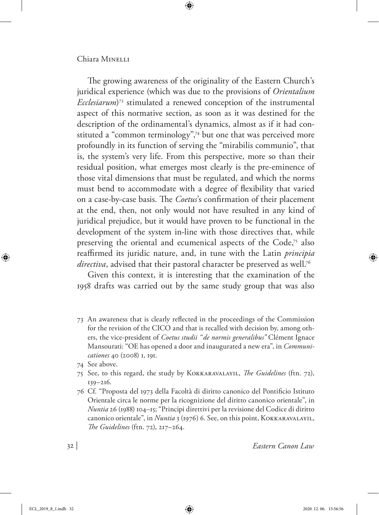The growing awareness of the originality of the Eastern Church's juridical experience (which was due to the provisions of *Orientalium Ecclesiarum*) 73 stimulated a renewed conception of the instrumental aspect of this normative section, as soon as it was destined for the description of the ordinamental's dynamics, almost as if it had constituted a "common terminology",74 but one that was perceived more profoundly in its function of serving the "mirabilis communio", that is, the system's very life. From this perspective, more so than their residual position, what emerges most clearly is the pre-eminence of those vital dimensions that must be regulated, and which the norms must bend to accommodate with a degree of flexibility that varied on a case-by-case basis. The *Coetus*'s confirmation of their placement at the end, then, not only would not have resulted in any kind of juridical prejudice, but it would have proven to be functional in the development of the system in-line with those directives that, while preserving the oriental and ecumenical aspects of the Code,<sup>75</sup> also reaffirmed its juridic nature, and, in tune with the Latin *principia directiva*, advised that their pastoral character be preserved as well.<sup>76</sup>

Given this context, it is interesting that the examination of the 1958 drafts was carried out by the same study group that was also

- 73 An awareness that is clearly reflected in the proceedings of the Commission for the revision of the CICO and that is recalled with decision by, among others, the vice-president of *Coetus studii "de normis generalibus"* Clément Ignace Mansourati: "OE has opened a door and inaugurated a new era", in *Communicationes* 40 (2008) 1, 191.
- 74 See above.
- 75 See, to this regard, the study by Kokkaravalayil, *The Guidelines* (ftn. 72), 139–216.
- 76 Cf. "Proposta del 1973 della Facoltà di diritto canonico del Pontificio Istituto Orientale circa le norme per la ricognizione del diritto canonico orientale", in *Nuntia* 26 (1988) 104–15; "Principi direttivi per la revisione del Codice di diritto canonico orientale", in *Nuntia* 3 (1976) 6. See, on this point, Kokkaravalayil, *The Guidelines* (ftn. 72), 217–264.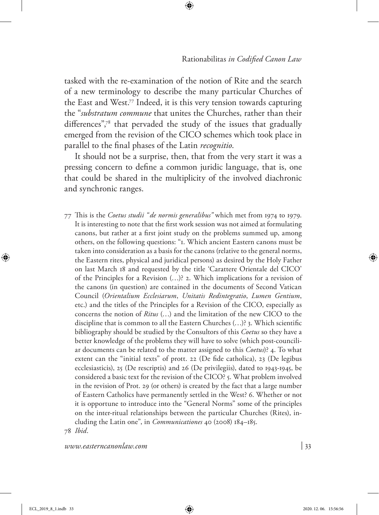tasked with the re-examination of the notion of Rite and the search of a new terminology to describe the many particular Churches of the East and West.77 Indeed, it is this very tension towards capturing the "*substratum commune* that unites the Churches, rather than their differences",78 that pervaded the study of the issues that gradually emerged from the revision of the CICO schemes which took place in parallel to the final phases of the Latin *recognitio*.

It should not be a surprise, then, that from the very start it was a pressing concern to define a common juridic language, that is, one that could be shared in the multiplicity of the involved diachronic and synchronic ranges.

77 This is the *Coetus studii "de normis generalibus"* which met from 1974 to 1979. It is interesting to note that the first work session was not aimed at formulating canons, but rather at a first joint study on the problems summed up, among others, on the following questions: "1. Which ancient Eastern canons must be taken into consideration as a basis for the canons (relative to the general norms, the Eastern rites, physical and juridical persons) as desired by the Holy Father on last March 18 and requested by the title 'Carattere Orientale del CICO' of the Principles for a Revision (…)? 2. Which implications for a revision of the canons (in question) are contained in the documents of Second Vatican Council (*Orientalium Ecclesiarum*, *Unitatis Redintegratio*, *Lumen Gentium*, etc.) and the titles of the Principles for a Revision of the CICO, especially as concerns the notion of *Ritus* (…) and the limitation of the new CICO to the discipline that is common to all the Eastern Churches (…)? 3. Which scientific bibliography should be studied by the Consultors of this *Coetus* so they have a better knowledge of the problems they will have to solve (which post-counciliar documents can be related to the matter assigned to this *Coetus*)? 4. To what extent can the "initial texts" of prott. 22 (De fide catholica), 23 (De legibus ecclesiasticis), 25 (De rescriptis) and 26 (De privilegiis), dated to 1943-1945, be considered a basic text for the revision of the CICO? 5. What problem involved in the revision of Prot. 29 (or others) is created by the fact that a large number of Eastern Catholics have permanently settled in the West? 6. Whether or not it is opportune to introduce into the "General Norms" some of the principles on the inter-ritual relationships between the particular Churches (Rites), including the Latin one", in *Communicationes* 40 (2008) 184–185. 78 *Ibid*.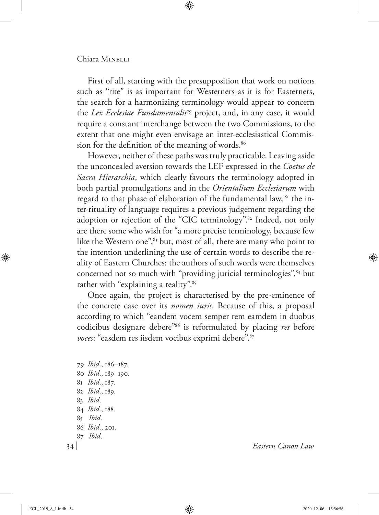First of all, starting with the presupposition that work on notions such as "rite" is as important for Westerners as it is for Easterners, the search for a harmonizing terminology would appear to concern the *Lex Ecclesiae Fundamentalis*79 project, and, in any case, it would require a constant interchange between the two Commissions, to the extent that one might even envisage an inter-ecclesiastical Commission for the definition of the meaning of words.<sup>80</sup>

However, neither of these paths was truly practicable. Leaving aside the unconcealed aversion towards the LEF expressed in the *Coetus de Sacra Hierarchia*, which clearly favours the terminology adopted in both partial promulgations and in the *Orientalium Ecclesiarum* with regard to that phase of elaboration of the fundamental law, <sup>81</sup> the inter-rituality of language requires a previous judgement regarding the adoption or rejection of the "CIC terminology".<sup>82</sup> Indeed, not only are there some who wish for "a more precise terminology, because few like the Western one",<sup>83</sup> but, most of all, there are many who point to the intention underlining the use of certain words to describe the reality of Eastern Churches: the authors of such words were themselves concerned not so much with "providing juricial terminologies", <sup>84</sup> but rather with "explaining a reality".<sup>85</sup>

Once again, the project is characterised by the pre-eminence of the concrete case over its *nomen iuris*. Because of this, a proposal according to which "eandem vocem semper rem eamdem in duobus codicibus designare debere"86 is reformulated by placing *res* before voces: "easdem res iisdem vocibus exprimi debere".<sup>87</sup>

 *Ibid*., 186–187. *Ibid*., 189–190. *Ibid*., 187. *Ibid*., 189. 83 *Ibid*. *Ibid*., 188. 85 *Ibid*. *Ibid*., 201. 87 *Ibid*.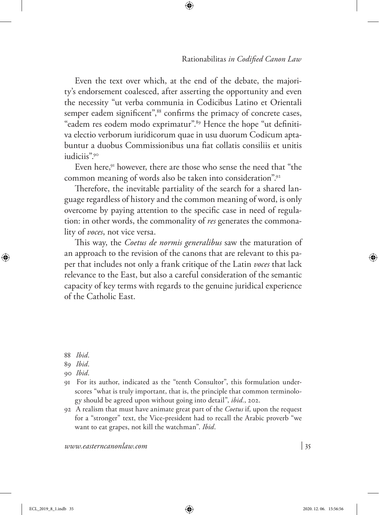Even the text over which, at the end of the debate, the majority's endorsement coalesced, after asserting the opportunity and even the necessity "ut verba communia in Codicibus Latino et Orientali semper eadem significent",<sup>88</sup> confirms the primacy of concrete cases, "eadem res eodem modo exprimatur".89 Hence the hope "ut definitiva electio verborum iuridicorum quae in usu duorum Codicum aptabuntur a duobus Commissionibus una fiat collatis consiliis et unitis iudiciis".90

Even here,<sup>91</sup> however, there are those who sense the need that "the common meaning of words also be taken into consideration".92

Therefore, the inevitable partiality of the search for a shared language regardless of history and the common meaning of word, is only overcome by paying attention to the specific case in need of regulation: in other words, the commonality of *res* generates the commonality of *voces*, not vice versa.

This way, the *Coetus de normis generalibus* saw the maturation of an approach to the revision of the canons that are relevant to this paper that includes not only a frank critique of the Latin *voces* that lack relevance to the East, but also a careful consideration of the semantic capacity of key terms with regards to the genuine juridical experience of the Catholic East.

- 91 For its author, indicated as the "tenth Consultor", this formulation underscores "what is truly important, that is, the principle that common terminology should be agreed upon without going into detail", *ibid.*, 202.
- 92 A realism that must have animate great part of the *Coetus* if, upon the request for a "stronger" text, the Vice-president had to recall the Arabic proverb "we want to eat grapes, not kill the watchman". *Ibid*.

<sup>88</sup> *Ibid*.

<sup>89</sup> *Ibid*.

<sup>90</sup> *Ibid*.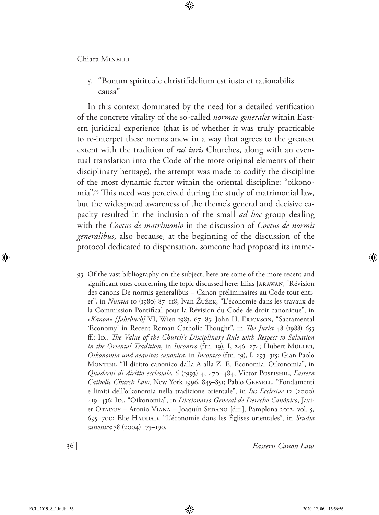5. "Bonum spirituale christifidelium est iusta et rationabilis causa"

In this context dominated by the need for a detailed verification of the concrete vitality of the so-called *normae generales* within Eastern juridical experience (that is of whether it was truly practicable to re-interpet these norms anew in a way that agrees to the greatest extent with the tradition of *sui iuris* Churches, along with an eventual translation into the Code of the more original elements of their disciplinary heritage), the attempt was made to codify the discipline of the most dynamic factor within the oriental discipline: "oikonomia".93 This need was perceived during the study of matrimonial law, but the widespread awareness of the theme's general and decisive capacity resulted in the inclusion of the small *ad hoc* group dealing with the *Coetus de matrimonio* in the discussion of *Coetus de normis generalibus*, also because, at the beginning of the discussion of the protocol dedicated to dispensation, someone had proposed its imme-

93 Of the vast bibliography on the subject, here are some of the more recent and significant ones concerning the topic discussed here: Elias Jarawan, "Révision des canons De normis generalibus – Canon préliminaires au Code tout entier", in *Nuntia* 10 (1980) 87–118; Ivan Žužek, "L'économie dans les travaux de la Commission Pontifical pour la Révision du Code de droit canonique", in *«Kanon» [Jahrbuch]* VI, Wien 1983, 67–83; John H. Erickson, "Sacramental 'Economy' in Recent Roman Catholic Thought", in *The Jurist* 48 (1988) 653 ff.; ID., *The Value of the Church's Disciplinary Rule with Respect to Salvation in the Oriental Tradition*, in *Incontro* (ftn. 19), I, 246–274; Hubert Müller, *Oikonomia und aequitas canonica*, in *Incontro* (ftn. 19), I, 293–315; Gian Paolo Montini, "Il diritto canonico dalla A alla Z. E. Economia. Oikonomia", in *Quaderni di diritto ecclesiale*, 6 (1993) 4, 470–484; Victor Pospishil, *Eastern Catholic Church Law*, New York 1996, 845–851; Pablo GEFAELL, "Fondamenti e limiti dell'oikonomia nella tradizione orientale", in *Ius Ecclesiae* 12 (2000) 419–436; Id., "Oikonomia", in *Diccionario General de Derecho Canónico*, Javier Otaduy – Atonio Viana – Joaquín Sedano [dir.], Pamplona 2012, vol. 5, 695–700; Elie Haddad, "L'économie dans les Églises orientales", in *Studia canonica* 38 (2004) 175–190.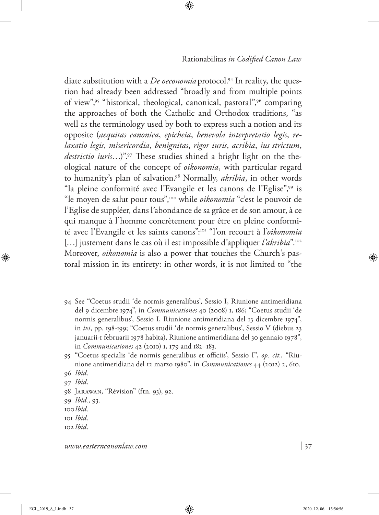Rationabilitas *in Codified Canon Law*

diate substitution with a *De oeconomia* protocol.<sup>94</sup> In reality, the question had already been addressed "broadly and from multiple points of view",95 "historical, theological, canonical, pastoral",96 comparing the approaches of both the Catholic and Orthodox traditions, "as well as the terminology used by both to express such a notion and its opposite (*aequitas canonica*, *epicheia*, *benevola interpretatio legis*, *relaxatio legis*, *misericordia*, *benignitas*, *rigor iuris*, *acribia*, *ius strictum*, destrictio iuris...)".97 These studies shined a bright light on the theological nature of the concept of *oikonomia*, with particular regard to humanity's plan of salvation.98 Normally, *akribia*, in other words "la pleine conformité avec l'Evangile et les canons de l'Eglise",99 is "le moyen de salut pour tous",100 while *oikonomia* "c'est le pouvoir de l'Eglise de suppléer, dans l'abondance de sa grâce et de son amour, à ce qui manque à l'homme concrètement pour être en pleine conformité avec l'Evangile et les saints canons":101 "l'on recourt à l'*oikonomia*  [...] justement dans le cas où il est impossible d'appliquer *l'akribia*".<sup>102</sup> Moreover, *oikonomia* is also a power that touches the Church's pastoral mission in its entirety: in other words, it is not limited to "the

- 94 See "Coetus studii 'de normis generalibus', Sessio I, Riunione antimeridiana del 9 dicembre 1974", in *Communicationes* 40 (2008) 1, 186; "Coetus studii 'de normis generalibus', Sessio I, Riunione antimeridiana del 13 dicembre 1974", in *ivi*, pp. 198-199; "Coetus studii 'de normis generalibus', Sessio V (diebus 23 januarii-1 februarii 1978 habita), Riunione antimeridiana del 30 gennaio 1978", in *Communicationes* 42 (2010) 1, 179 and 182–183.
- 95 "Coetus specialis 'de normis generalibus et officiis', Sessio I", *op. cit.,* "Riunione antimeridiana del 12 marzo 1980", in *Communicationes* 44 (2012) 2, 610.
- 96 *Ibid*.
- 97 *Ibid*.
- 98 Jarawan, "Révision" (ftn. 93), 92.
- 99 *Ibid.*, 93.
- 100*Ibid*.
- 101 *Ibid*.
- 102 *Ibid*.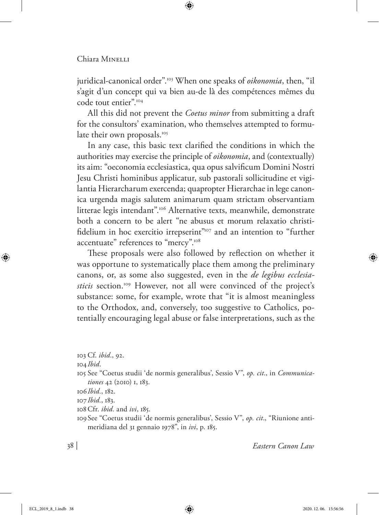juridical-canonical order".<sup>103</sup> When one speaks of *oikonomia*, then, "il s'agit d'un concept qui va bien au-de là des compétences mêmes du code tout entier".104

All this did not prevent the *Coetus minor* from submitting a draft for the consultors' examination, who themselves attempted to formulate their own proposals.<sup>105</sup>

In any case, this basic text clarified the conditions in which the authorities may exercise the principle of *oikonomia*, and (contextually) its aim: "oeconomia ecclesiastica, qua opus salvificum Domini Nostri Jesu Christi hominibus applicatur, sub pastorali sollicitudine et vigilantia Hierarcharum exercenda; quapropter Hierarchae in lege canonica urgenda magis salutem animarum quam strictam observantiam litterae legis intendant".106 Alternative texts, meanwhile, demonstrate both a concern to be alert "ne abusus et morum relaxatio christifidelium in hoc exercitio irrepserint"<sup>107</sup> and an intention to "further accentuate" references to "mercy".<sup>108</sup>

These proposals were also followed by reflection on whether it was opportune to systematically place them among the preliminary canons, or, as some also suggested, even in the *de legibus ecclesiasticis* section.<sup>109</sup> However, not all were convinced of the project's substance: some, for example, wrote that "it is almost meaningless to the Orthodox, and, conversely, too suggestive to Catholics, potentially encouraging legal abuse or false interpretations, such as the

103 Cf. *ibid.*, 92.

104 *Ibid*.

105 See "Coetus studii 'de normis generalibus', Sessio V", *op. cit*., in *Communicationes* 42 (2010) 1, 183.

106*Ibid.*, 182.

107*Ibid.*, 183.

108Cfr. *ibid.* and *ivi*, 185.

109See "Coetus studii 'de normis generalibus', Sessio V", *op. cit*., "Riunione antimeridiana del 31 gennaio 1978", in *ivi*, p. 185.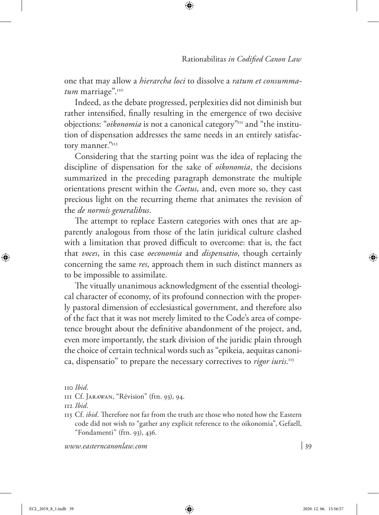one that may allow a *hierarcha loci* to dissolve a *ratum et consumma*tum marriage".<sup>110</sup>

Indeed, as the debate progressed, perplexities did not diminish but rather intensified, finally resulting in the emergence of two decisive objections: "*oikonomia* is not a canonical category"<sup>111</sup> and "the institution of dispensation addresses the same needs in an entirely satisfactory manner."112

Considering that the starting point was the idea of replacing the discipline of dispensation for the sake of *oikonomia*, the decisions summarized in the preceding paragraph demonstrate the multiple orientations present within the *Coetus*, and, even more so, they cast precious light on the recurring theme that animates the revision of the *de normis generalibus*.

The attempt to replace Eastern categories with ones that are apparently analogous from those of the latin juridical culture clashed with a limitation that proved difficult to overcome: that is, the fact that *voces*, in this case *oeconomia* and *dispensatio*, though certainly concerning the same *res*, approach them in such distinct manners as to be impossible to assimilate.

The vitually unanimous acknowledgment of the essential theological character of economy, of its profound connection with the properly pastoral dimension of ecclesiastical government, and therefore also of the fact that it was not merely limited to the Code's area of competence brought about the definitive abandonment of the project, and, even more importantly, the stark division of the juridic plain through the choice of certain technical words such as "epikeia, aequitas canonica, dispensatio" to prepare the necessary correctives to *rigor iuris*. 113

110 *Ibid*.

113 Cf. *ibid*. Therefore not far from the truth are those who noted how the Eastern code did not wish to "gather any explicit reference to the oikonomia", Gefaell, "Fondamenti" (ftn. 93), 436.

<sup>111</sup> Cf. Jarawan, "Révision" (ftn. 93), 94.

<sup>112</sup> *Ibid*.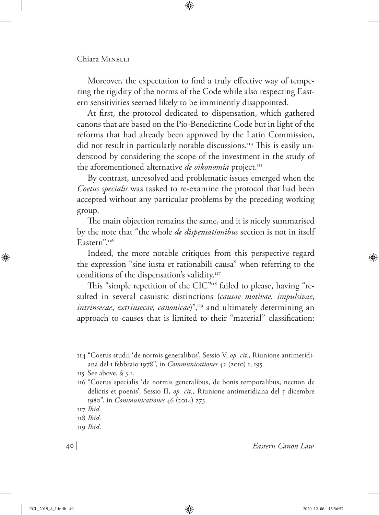Moreover, the expectation to find a truly effective way of tempering the rigidity of the norms of the Code while also respecting Eastern sensitivities seemed likely to be imminently disappointed.

At first, the protocol dedicated to dispensation, which gathered canons that are based on the Pio-Benedictine Code but in light of the reforms that had already been approved by the Latin Commission, did not result in particularly notable discussions.<sup>114</sup> This is easily understood by considering the scope of the investment in the study of the aforementioned alternative *de oikonomia* project.<sup>115</sup>

By contrast, unresolved and problematic issues emerged when the *Coetus specialis* was tasked to re-examine the protocol that had been accepted without any particular problems by the preceding working group.

The main objection remains the same, and it is nicely summarised by the note that "the whole *de dispensationibus* section is not in itself Eastern".<sup>116</sup>

Indeed, the more notable critiques from this perspective regard the expression "sine iusta et rationabili causa" when referring to the conditions of the dispensation's validity.<sup>117</sup>

This "simple repetition of the CIC"<sup>118</sup> failed to please, having "resulted in several casuistic distinctions (*causae motivae*, *impulsivae*, *intrinsecae, extrinsecae, canonicae*)",<sup>119</sup> and ultimately determining an approach to causes that is limited to their "material" classification:

116 "Coetus specialis 'de normis generalibus, de bonis temporalibus, necnon de delictis et poenis', Sessio II, *op. cit.,* Riunione antimeridiana del 5 dicembre 1980", in *Communicationes* 46 (2014) 273.

<sup>114</sup> "Coetus studii 'de normis generalibus', Sessio V, *op. cit*., Riunione antimeridiana del 1 febbraio 1978", in *Communicationes* 42 (2010) 1, 195.

<sup>115</sup> See above, § 3.1.

<sup>117</sup> *Ibid*.

<sup>118</sup> *Ibid*.

<sup>119</sup> *Ibid*.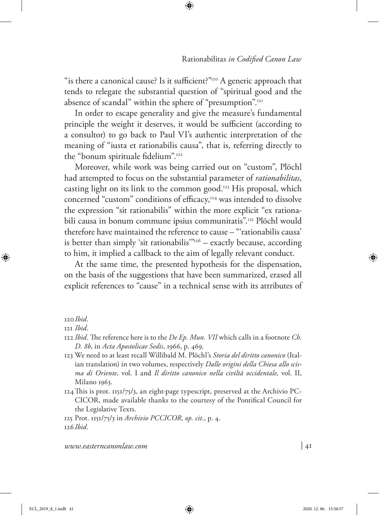"is there a canonical cause? Is it sufficient?"120 A generic approach that tends to relegate the substantial question of "spiritual good and the absence of scandal" within the sphere of "presumption".121

In order to escape generality and give the measure's fundamental principle the weight it deserves, it would be sufficient (according to a consultor) to go back to Paul VI's authentic interpretation of the meaning of "iusta et rationabilis causa", that is, referring directly to the "bonum spirituale fidelium".<sup>122</sup>

Moreover, while work was being carried out on "custom", Plöchl had attempted to focus on the substantial parameter of *rationabilitas*, casting light on its link to the common good.123 His proposal, which concerned "custom" conditions of efficacy,<sup>124</sup> was intended to dissolve the expression "sit rationabilis" within the more explicit "ex rationabili causa in bonum commune ipsius communitatis".125 Plöchl would therefore have maintained the reference to cause – "'rationabilis causa' is better than simply 'sit rationabilis'"<sup>126</sup> – exactly because, according to him, it implied a callback to the aim of legally relevant conduct.

At the same time, the presented hypothesis for the dispensation, on the basis of the suggestions that have been summarized, erased all explicit references to "cause" in a technical sense with its attributes of

120*Ibid*.

- 123 We need to at least recall Willibald M. Plöchl's *Storia del diritto canonico* (Italian translation) in two volumes, respectively *Dalle origini della Chiesa allo scisma di Oriente*, vol. I and *Il diritto canonico nella civiltà occidentale*, vol. II, Milano 1963.
- 124This is prot. 1151/75/3, an eight-page typescript, preserved at the Archivio PC-CICOR, made available thanks to the courtesy of the Pontifical Council for the Legislative Texts.

125 Prot. 1151/75/3 in *Archivio PCCICOR*, *op. cit*., p. 4. 126 *Ibid*.

<sup>121</sup> *Ibid*.

<sup>122</sup> *Ibid*. The reference here is to the *De Ep. Mun. VII* which calls in a footnote *Ch. D. 8b*, in *Acta Apostolicae Sedis*, 1966, p. 469.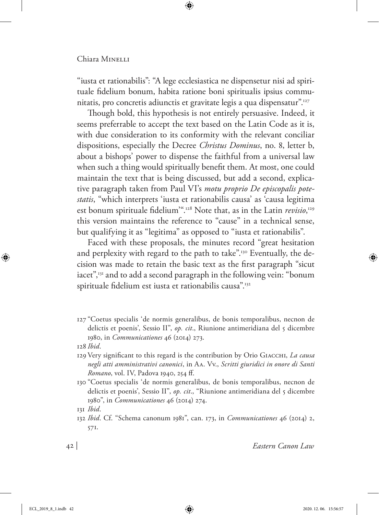"iusta et rationabilis": "A lege ecclesiastica ne dispensetur nisi ad spirituale fidelium bonum, habita ratione boni spiritualis ipsius communitatis, pro concretis adiunctis et gravitate legis a qua dispensatur".127

Though bold, this hypothesis is not entirely persuasive. Indeed, it seems preferrable to accept the text based on the Latin Code as it is, with due consideration to its conformity with the relevant conciliar dispositions, especially the Decree *Christus Dominus*, no. 8, letter b, about a bishops' power to dispense the faithful from a universal law when such a thing would spiritually benefit them. At most, one could maintain the text that is being discussed, but add a second, explicative paragraph taken from Paul VI's *motu proprio De episcopalis potestatis*, "which interprets 'iusta et rationabilis causa' as 'causa legitima est bonum spirituale fidelium'".128 Note that, as in the Latin *revisio*, 129 this version maintains the reference to "cause" in a technical sense, but qualifying it as "legitima" as opposed to "iusta et rationabilis".

Faced with these proposals, the minutes record "great hesitation and perplexity with regard to the path to take".<sup>130</sup> Eventually, the decision was made to retain the basic text as the first paragraph "sicut iacet",<sup>131</sup> and to add a second paragraph in the following vein: "bonum spirituale fidelium est iusta et rationabilis causa".<sup>132</sup>

127 "Coetus specialis 'de normis generalibus, de bonis temporalibus, necnon de delictis et poenis', Sessio II", *op. cit*., Riunione antimeridiana del 5 dicembre 1980, in *Communicationes* 46 (2014) 273.

128 *Ibid*.

- 129 Very significant to this regard is the contribution by Orio Giacchi, *La causa negli atti amministrativi canonici*, in Aa. Vv., *Scritti giuridici in onore di Santi Romano*, vol. IV, Padova 1940, 254 ff.
- 130 "Coetus specialis 'de normis generalibus, de bonis temporalibus, necnon de delictis et poenis', Sessio II", *op. cit*., "Riunione antimeridiana del 5 dicembre 1980", in *Communicationes* 46 (2014) 274.

<sup>131</sup> *Ibid*.

<sup>132</sup> *Ibid*. Cf. "Schema canonum 1981", can. 173, in *Communicationes* 46 (2014) 2, 571.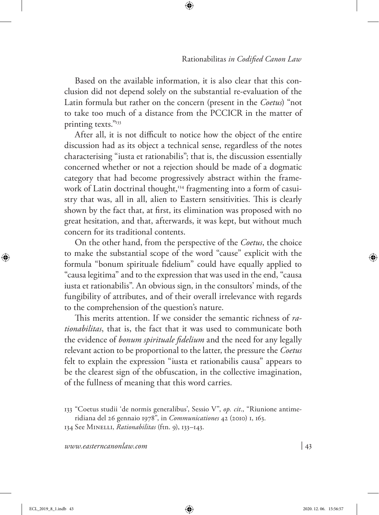Based on the available information, it is also clear that this conclusion did not depend solely on the substantial re-evaluation of the Latin formula but rather on the concern (present in the *Coetus*) "not to take too much of a distance from the PCCICR in the matter of printing texts."133

After all, it is not difficult to notice how the object of the entire discussion had as its object a technical sense, regardless of the notes characterising "iusta et rationabilis"; that is, the discussion essentially concerned whether or not a rejection should be made of a dogmatic category that had become progressively abstract within the framework of Latin doctrinal thought,<sup>134</sup> fragmenting into a form of casuistry that was, all in all, alien to Eastern sensitivities. This is clearly shown by the fact that, at first, its elimination was proposed with no great hesitation, and that, afterwards, it was kept, but without much concern for its traditional contents.

On the other hand, from the perspective of the *Coetus*, the choice to make the substantial scope of the word "cause" explicit with the formula "bonum spirituale fidelium" could have equally applied to "causa legitima" and to the expression that was used in the end, "causa iusta et rationabilis". An obvious sign, in the consultors' minds, of the fungibility of attributes, and of their overall irrelevance with regards to the comprehension of the question's nature.

This merits attention. If we consider the semantic richness of *rationabilitas*, that is, the fact that it was used to communicate both the evidence of *bonum spirituale fidelium* and the need for any legally relevant action to be proportional to the latter, the pressure the *Coetus* felt to explain the expression "iusta et rationabilis causa" appears to be the clearest sign of the obfuscation, in the collective imagination, of the fullness of meaning that this word carries.

<sup>133</sup> "Coetus studii 'de normis generalibus', Sessio V", *op. cit*., "Riunione antimeridiana del 26 gennaio 1978", in *Communicationes* 42 (2010) 1, 163.

<sup>134</sup> See Minelli, *Rationabilitas* (ftn. 9), 133–143.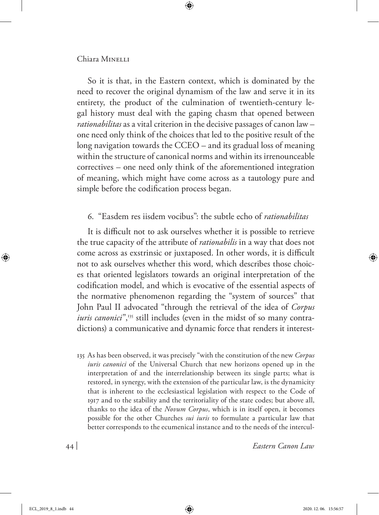So it is that, in the Eastern context, which is dominated by the need to recover the original dynamism of the law and serve it in its entirety, the product of the culmination of twentieth-century legal history must deal with the gaping chasm that opened between *rationabilitas* as a vital criterion in the decisive passages of canon law – one need only think of the choices that led to the positive result of the long navigation towards the CCEO – and its gradual loss of meaning within the structure of canonical norms and within its irrenounceable correctives – one need only think of the aforementioned integration of meaning, which might have come across as a tautology pure and simple before the codification process began.

## 6. "Easdem res iisdem vocibus": the subtle echo of *rationabilitas*

It is difficult not to ask ourselves whether it is possible to retrieve the true capacity of the attribute of *rationabilis* in a way that does not come across as exstrinsic or juxtaposed. In other words, it is difficult not to ask ourselves whether this word, which describes those choices that oriented legislators towards an original interpretation of the codification model, and which is evocative of the essential aspects of the normative phenomenon regarding the "system of sources" that John Paul II advocated "through the retrieval of the idea of *Corpus iuris canonici*",<sup>135</sup> still includes (even in the midst of so many contradictions) a communicative and dynamic force that renders it interest-

135 As has been observed, it was precisely "with the constitution of the new *Corpus iuris canonici* of the Universal Church that new horizons opened up in the interpretation of and the interrelationship between its single parts; what is restored, in synergy, with the extension of the particular law, is the dynamicity that is inherent to the ecclesiastical legislation with respect to the Code of 1917 and to the stability and the territoriality of the state codes; but above all, thanks to the idea of the *Novum Corpus*, which is in itself open, it becomes possible for the other Churches *sui iuris* to formulate a particular law that better corresponds to the ecumenical instance and to the needs of the intercul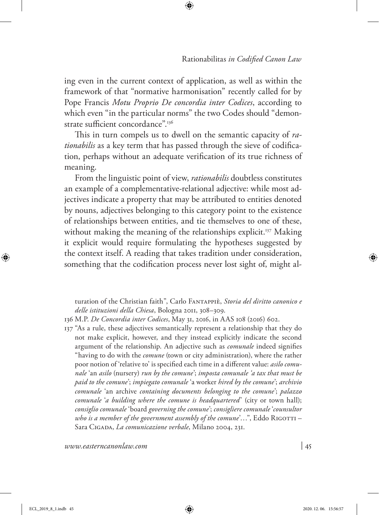ing even in the current context of application, as well as within the framework of that "normative harmonisation" recently called for by Pope Francis *Motu Proprio De concordia inter Codices*, according to which even "in the particular norms" the two Codes should "demonstrate sufficient concordance".136

This in turn compels us to dwell on the semantic capacity of *rationabilis* as a key term that has passed through the sieve of codification, perhaps without an adequate verification of its true richness of meaning.

From the linguistic point of view, *rationabilis* doubtless constitutes an example of a complementative-relational adjective: while most adjectives indicate a property that may be attributed to entities denoted by nouns, adjectives belonging to this category point to the existence of relationships between entities, and tie themselves to one of these, without making the meaning of the relationships explicit.<sup>137</sup> Making it explicit would require formulating the hypotheses suggested by the context itself. A reading that takes tradition under consideration, something that the codification process never lost sight of, might al-

137 "As a rule, these adjectives semantically represent a relationship that they do not make explicit, however, and they instead explicitly indicate the second argument of the relationship. An adjective such as *comunale* indeed signifies "having to do with the *comune* (town or city administration), where the rather poor notion of 'relative to' is specified each time in a different value: *asilo comunale* 'an *asilo* (nursery) *run by the comune*'; *imposta comunale 'a tax that must be paid to the comune*'; *impiegato comunale* 'a worker *hired by the comune*'; *archivio comunale* 'an archive *containing documents belonging to the comune*'; *palazzo comunale* '*a building where the comune is headquartered*' (city or town hall); *consiglio comunale* 'board *governing the comune*'; *consigliere comunale* '*counsultor who is a member of the government assembly of the comune*'...", Eddo RIGOTTI – Sara Cigada, *La comunicazione verbale*, Milano 2004, 231.

turation of the Christian faith", Carlo Fantappiè, *Storia del diritto canonico e delle istituzioni della Chiesa*, Bologna 2011, 308–309.

<sup>136</sup> M.P. *De Concordia inter Codices*, May 31, 2016, in AAS 108 (2016) 602.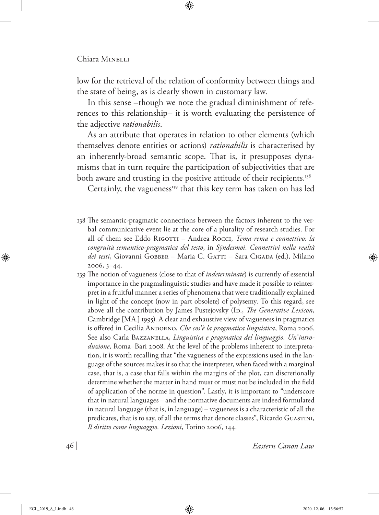low for the retrieval of the relation of conformity between things and the state of being, as is clearly shown in customary law.

In this sense –though we note the gradual diminishment of references to this relationship– it is worth evaluating the persistence of the adjective *rationabilis*.

As an attribute that operates in relation to other elements (which themselves denote entities or actions) *rationabilis* is characterised by an inherently-broad semantic scope. That is, it presupposes dynamisms that in turn require the participation of subjectivities that are both aware and trusting in the positive attitude of their recipients.<sup>138</sup>

Certainly, the vagueness<sup>139</sup> that this key term has taken on has led

- 138 The semantic-pragmatic connections between the factors inherent to the verbal communicative event lie at the core of a plurality of research studies. For all of them see Eddo RIGOTTI – Andrea ROCCI, *Tema-rema e connettivo: la congruità semantico-pragmatica del testo*, in *Sýndesmoi. Connettivi nella realtà*  dei testi, Giovanni Gobber – Maria C. GATTI – Sara CIGADA (ed.), Milano 2006, 3–44.
- 139 The notion of vagueness (close to that of *indeterminate*) is currently of essential importance in the pragmalinguistic studies and have made it possible to reinterpret in a fruitful manner a series of phenomena that were traditionally explained in light of the concept (now in part obsolete) of polysemy. To this regard, see above all the contribution by James Pustejovsky (ID., *The Generative Lexicon*, Cambridge [MA.] 1995). A clear and exhaustive view of vagueness in pragmatics is offered in Cecilia ANDORNO, *Che cos'è la pragmatica linguistica*, Roma 2006. See also Carla BAZZANELLA, *Linguistica e pragmatica del linguaggio*. Un'intro*duzione*, Roma–Bari 2008. At the level of the problems inherent to interpretation, it is worth recalling that "the vagueness of the expressions used in the language of the sources makes it so that the interpreter, when faced with a marginal case, that is, a case that falls within the margins of the plot, can discretionally determine whether the matter in hand must or must not be included in the field of application of the norme in question". Lastly, it is important to "underscore that in natural languages – and the normative documents are indeed formulated in natural language (that is, in language) – vagueness is a characteristic of all the predicates, that is to say, of all the terms that denote classes", Ricardo GUASTINI, *Il diritto come linguaggio. Lezioni*, Torino 2006, 144.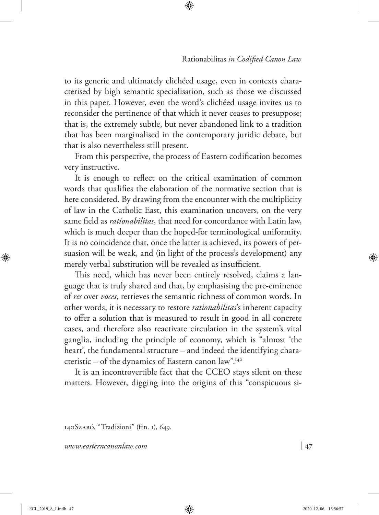to its generic and ultimately clichéed usage, even in contexts characterised by high semantic specialisation, such as those we discussed in this paper. However, even the word's clichéed usage invites us to reconsider the pertinence of that which it never ceases to presuppose; that is, the extremely subtle, but never abandoned link to a tradition that has been marginalised in the contemporary juridic debate, but that is also nevertheless still present.

From this perspective, the process of Eastern codification becomes very instructive.

It is enough to reflect on the critical examination of common words that qualifies the elaboration of the normative section that is here considered. By drawing from the encounter with the multiplicity of law in the Catholic East, this examination uncovers, on the very same field as *rationabilitas*, that need for concordance with Latin law, which is much deeper than the hoped-for terminological uniformity. It is no coincidence that, once the latter is achieved, its powers of persuasion will be weak, and (in light of the process's development) any merely verbal substitution will be revealed as insufficient.

This need, which has never been entirely resolved, claims a language that is truly shared and that, by emphasising the pre-eminence of *res* over *voces*, retrieves the semantic richness of common words. In other words, it is necessary to restore *rationabilitas*'s inherent capacity to offer a solution that is measured to result in good in all concrete cases, and therefore also reactivate circulation in the system's vital ganglia, including the principle of economy, which is "almost 'the heart', the fundamental structure – and indeed the identifying characteristic – of the dynamics of Eastern canon law".140

It is an incontrovertible fact that the CCEO stays silent on these matters. However, digging into the origins of this "conspicuous si-

140Szabó, "Tradizioni" (ftn. 1), 649.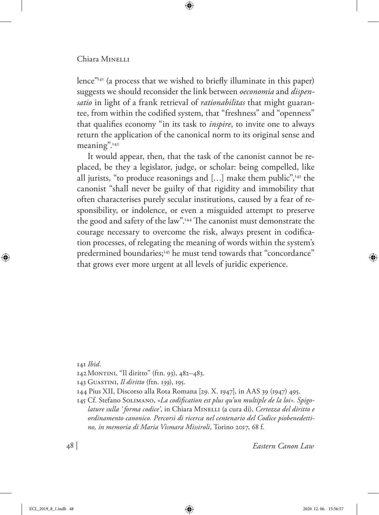lence"141 (a process that we wished to briefly illuminate in this paper) suggests we should reconsider the link between *oeconomia* and *dispensatio* in light of a frank retrieval of *rationabilitas* that might guarantee, from within the codified system, that "freshness" and "openness" that qualifies economy "in its task to *inspire*, to invite one to always return the application of the canonical norm to its original sense and meaning".142

It would appear, then, that the task of the canonist cannot be replaced, be they a legislator, judge, or scholar: being compelled, like all jurists, "to produce reasonings and  $[...]$  make them public",<sup>143</sup> the canonist "shall never be guilty of that rigidity and immobility that often characterises purely secular institutions, caused by a fear of responsibility, or indolence, or even a misguided attempt to preserve the good and safety of the law".144 The canonist must demonstrate the courage necessary to overcome the risk, always present in codification processes, of relegating the meaning of words within the system's predermined boundaries;<sup>145</sup> he must tend towards that "concordance" that grows ever more urgent at all levels of juridic experience.

141 *Ibid*.

- 142Montini, "Il diritto" (ftn. 93), 482–483.
- 143 Guastini, *Il diritto* (ftn. 139), 195.
- 144 Pius XII, Discorso alla Rota Romana [29. X. 1947], in AAS 39 (1947) 495.
- 145 Cf. Stefano Solimano, *«La codification est plus qu'un multiple de la loi». Spigolature sulla ' forma codice'*, in Chiara Minelli (a cura di), *Certezza del diritto e ordinamento canonico. Percorsi di ricerca nel centenario del Codice piobenedettino, in memoria di Maria Vismara Missiroli*, Torino 2017, 68 f.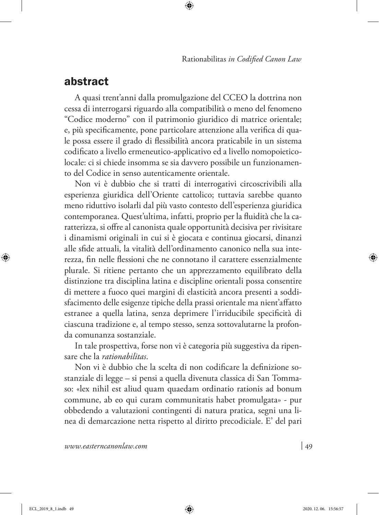# abstract

A quasi trent'anni dalla promulgazione del CCEO la dottrina non cessa di interrogarsi riguardo alla compatibilità o meno del fenomeno "Codice moderno" con il patrimonio giuridico di matrice orientale; e, più specificamente, pone particolare attenzione alla verifica di quale possa essere il grado di flessibilità ancora praticabile in un sistema codificato a livello ermeneutico-applicativo ed a livello nomopoieticolocale: ci si chiede insomma se sia davvero possibile un funzionamento del Codice in senso autenticamente orientale.

Non vi è dubbio che si tratti di interrogativi circoscrivibili alla esperienza giuridica dell'Oriente cattolico; tuttavia sarebbe quanto meno riduttivo isolarli dal più vasto contesto dell'esperienza giuridica contemporanea. Quest'ultima, infatti, proprio per la fluidità che la caratterizza, si offre al canonista quale opportunità decisiva per rivisitare i dinamismi originali in cui si è giocata e continua giocarsi, dinanzi alle sfide attuali, la vitalità dell'ordinamento canonico nella sua interezza, fin nelle flessioni che ne connotano il carattere essenzialmente plurale. Si ritiene pertanto che un apprezzamento equilibrato della distinzione tra disciplina latina e discipline orientali possa consentire di mettere a fuoco quei margini di elasticità ancora presenti a soddisfacimento delle esigenze tipiche della prassi orientale ma nient'affatto estranee a quella latina, senza deprimere l'irriducibile specificità di ciascuna tradizione e, al tempo stesso, senza sottovalutarne la profonda comunanza sostanziale.

In tale prospettiva, forse non vi è categoria più suggestiva da ripensare che la *rationabilitas*.

Non vi è dubbio che la scelta di non codificare la definizione sostanziale di legge – si pensi a quella divenuta classica di San Tommaso: «lex nihil est aliud quam quaedam ordinatio rationis ad bonum commune, ab eo qui curam communitatis habet promulgata» - pur obbedendo a valutazioni contingenti di natura pratica, segni una linea di demarcazione netta rispetto al diritto precodiciale. E' del pari